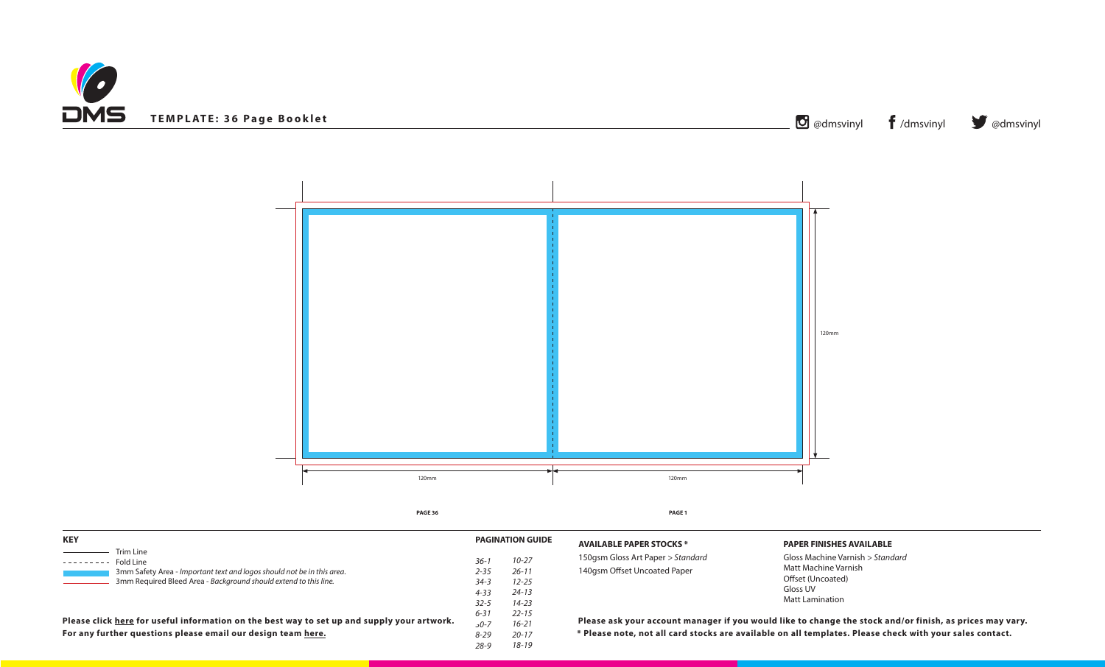



## **PAPER FINISHES AVAILABLE**

Gloss Machine Varnish *> Standard* Matt Machine Varnish Offset (Uncoated) Gloss UV Matt Lamination

**Ill card stocks are available on all templates. Please check with your sales contact.** count manager if you would like to change the stock and/or finish, as prices may vary.

| <b>KEY</b>                                                                                                                                 |                      | <b>PAGINATION GUIDE</b> | <b>AVAILABLE PAPER ST</b>                      |  |
|--------------------------------------------------------------------------------------------------------------------------------------------|----------------------|-------------------------|------------------------------------------------|--|
| Trim Line<br>Fold Line                                                                                                                     | $36-1$<br>$2 - 35$   | $10 - 27$<br>$26 - 11$  | 150gsm Gloss Art Pape<br>140gsm Offset Uncoate |  |
| 3mm Safety Area - Important text and logos should not be in this area.<br>3mm Required Bleed Area - Background should extend to this line. | $34 - 3$<br>$4 - 33$ | $12 - 25$<br>$24 - 13$  |                                                |  |
|                                                                                                                                            | $32 - 5$<br>$6 - 31$ | $14 - 23$<br>$22 - 15$  |                                                |  |
| Please click here for useful information on the best way to set up and supply your artwork.                                                | $50 - 7$             | $16 - 21$               | Please ask your acce                           |  |
| For any further questions please email our design team here.                                                                               | $8 - 29$             | $20 - 17$               | * Please note, not al                          |  |
|                                                                                                                                            | $28 - 9$             | $18 - 19$               |                                                |  |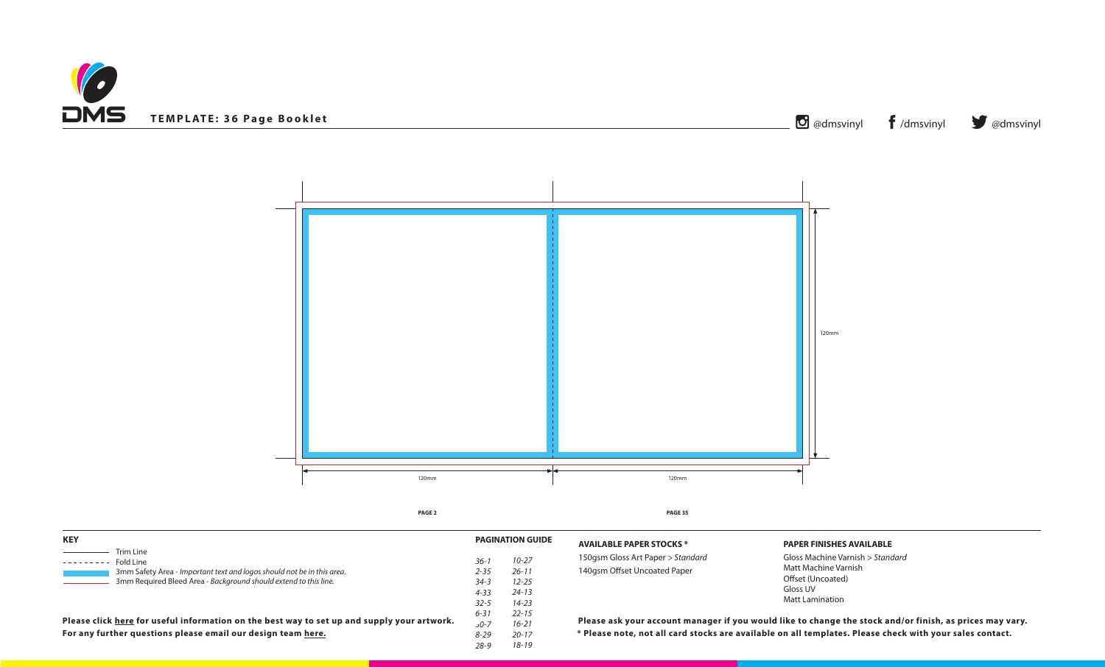



# **PAPER FINISHES AVAILABLE**

Gloss Machine Varnish *> Standard* Matt Machine Varnish Offset (Uncoated) Gloss UV Matt Lamination

all card stocks are available on all templates. Please check with your sales contact. count manager if you would like to change the stock and/or finish, as prices may vary.

| <b>KEY</b>                                                                                                                                 |                      | <b>PAGINATION GUIDE</b> | <b>AVAILABLE PAPER ST</b>                     |
|--------------------------------------------------------------------------------------------------------------------------------------------|----------------------|-------------------------|-----------------------------------------------|
| Trim Line<br>Fold Line                                                                                                                     | $36-1$<br>$2 - 35$   | $10 - 27$<br>$26 - 11$  | 150gsm Gloss Art Pape<br>140gsm Offset Uncoat |
| 3mm Safety Area - Important text and logos should not be in this area.<br>3mm Required Bleed Area - Background should extend to this line. | $34 - 3$<br>$4 - 33$ | $12 - 25$<br>$24 - 13$  |                                               |
|                                                                                                                                            | $32 - 5$<br>$6 - 31$ | $14 - 23$<br>$22 - 15$  |                                               |
| Please click here for useful information on the best way to set up and supply your artwork.                                                | $50 - 7$             | $16 - 21$               | Please ask your acc                           |
| For any further questions please email our design team here.                                                                               | $8 - 29$             | $20 - 17$               | * Please note, not a                          |
|                                                                                                                                            | $28 - 9$             | $18 - 19$               |                                               |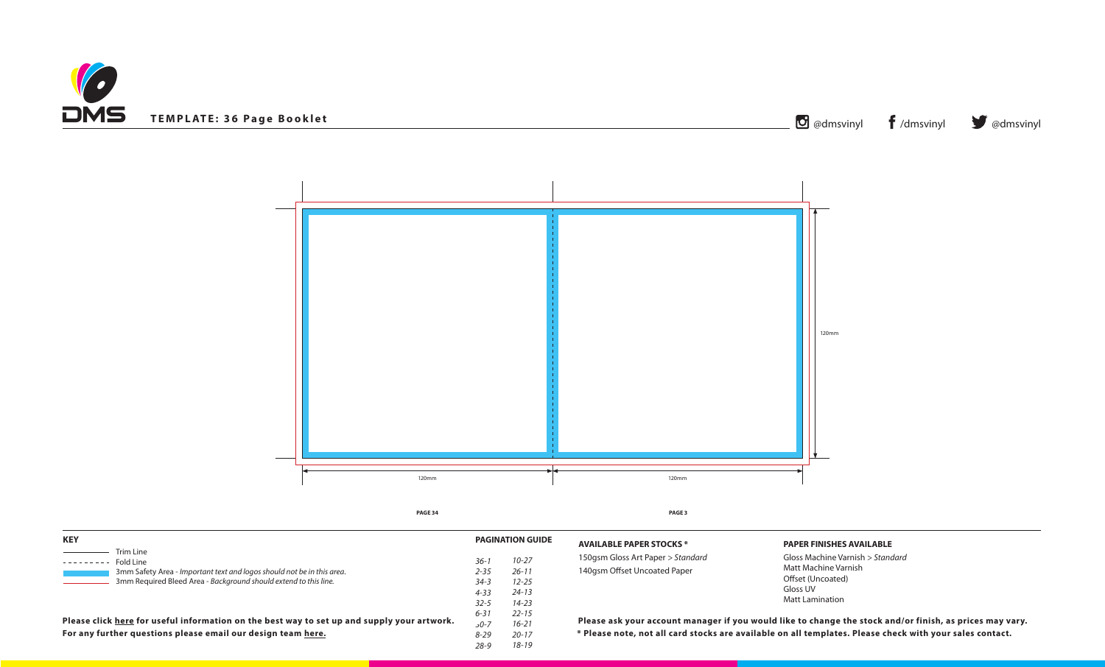



# **PAPER FINISHES AVAILABLE**

Gloss Machine Varnish *> Standard* Matt Machine Varnish Offset (Uncoated) Gloss UV Matt Lamination

all card stocks are available on all templates. Please check with your sales contact. count manager if you would like to change the stock and/or finish, as prices may vary.

| <b>KEY</b>                                                                                  |          | <b>PAGINATION GUIDE</b> | <b>AVAILABLE PAPER ST</b> |
|---------------------------------------------------------------------------------------------|----------|-------------------------|---------------------------|
| Trim Line<br>Fold Line                                                                      | $36-1$   | $10 - 27$               | 150gsm Gloss Art Pape     |
| 3mm Safety Area - Important text and logos should not be in this area.                      | $2 - 35$ | $26 - 11$               | 140gsm Offset Uncoat      |
| 3mm Required Bleed Area - Background should extend to this line.                            | $34 - 3$ | $12 - 25$               |                           |
|                                                                                             | $4 - 33$ | $24 - 13$               |                           |
|                                                                                             | $32 - 5$ | $14 - 23$               |                           |
|                                                                                             | $6 - 31$ | $22 - 15$               |                           |
| Please click here for useful information on the best way to set up and supply your artwork. | $50 - 7$ | $16 - 21$               | Please ask your acc       |
| For any further questions please email our design team here.                                | $8 - 29$ | $20 - 17$               | * Please note, not a      |
|                                                                                             | $28 - 9$ | 18-19                   |                           |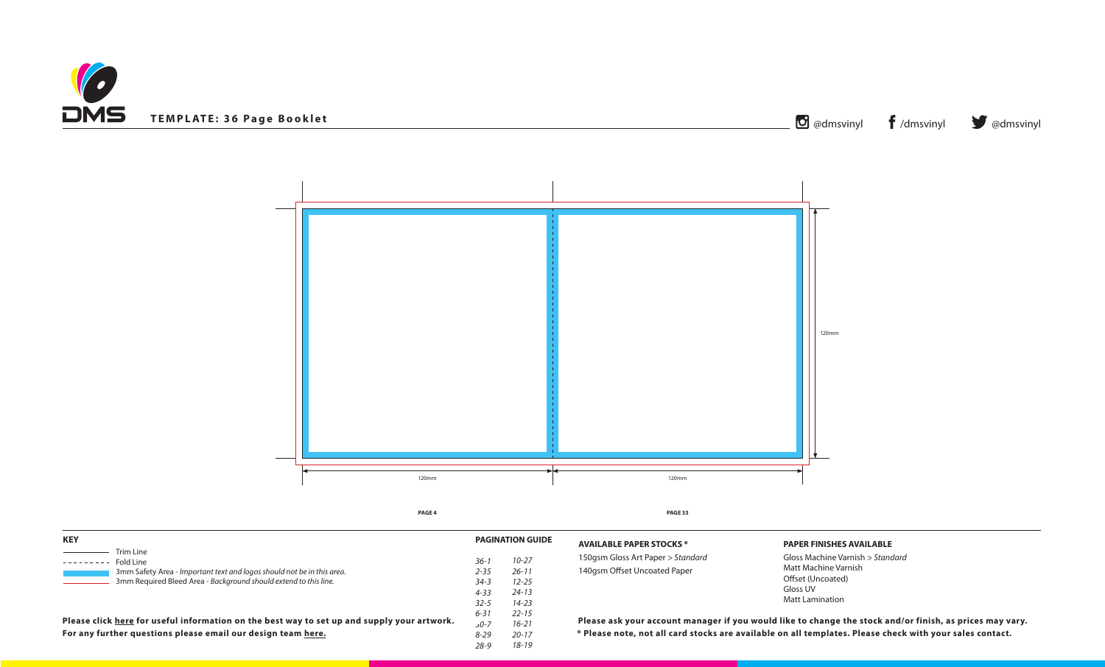



# **PAPER FINISHES AVAILABLE**

Gloss Machine Varnish *> Standard* Matt Machine Varnish Offset (Uncoated) Gloss UV Matt Lamination

all card stocks are available on all templates. Please check with your sales contact. count manager if you would like to change the stock and/or finish, as prices may vary.

| <b>KEY</b>                                                                                                                                 |                                  | <b>PAGINATION GUIDE</b>             | <b>AVAILABLE PAPER ST</b> |
|--------------------------------------------------------------------------------------------------------------------------------------------|----------------------------------|-------------------------------------|---------------------------|
| Trim Line<br>Fold Line                                                                                                                     | $36-1$                           | $10 - 27$                           | 150gsm Gloss Art Pape     |
| 3mm Safety Area - Important text and logos should not be in this area.<br>3mm Required Bleed Area - Background should extend to this line. | $2 - 35$<br>$34 - 3$<br>$4 - 33$ | $26 - 11$<br>$12 - 25$<br>$24 - 13$ | 140gsm Offset Uncoat      |
|                                                                                                                                            | $32 - 5$<br>$6 - 31$             | $14 - 23$<br>$22 - 15$              |                           |
| Please click here for useful information on the best way to set up and supply your artwork.                                                | 0-7د                             | $16 - 21$                           | Please ask your acc       |
| For any further questions please email our design team here.                                                                               | $8 - 29$<br>28-9                 | $20 - 17$<br>18-19                  | * Please note, not a      |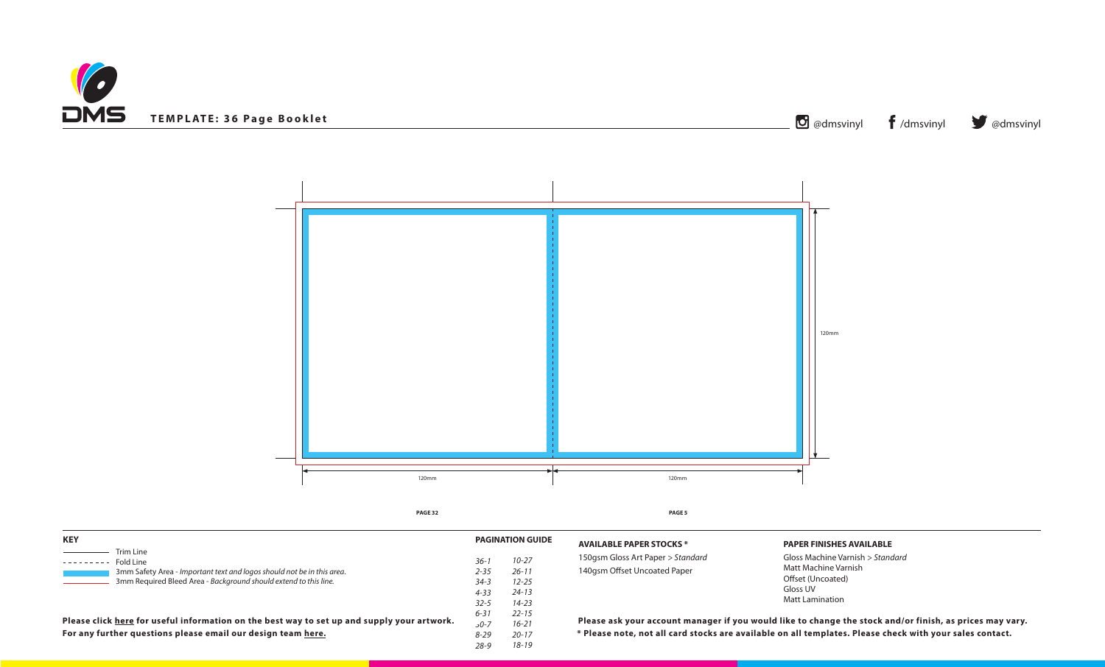



# **PAPER FINISHES AVAILABLE**

Gloss Machine Varnish *> Standard* Matt Machine Varnish Offset (Uncoated) Gloss UV Matt Lamination

all card stocks are available on all templates. Please check with your sales contact. count manager if you would like to change the stock and/or finish, as prices may vary.

| <b>KEY</b>                                                                                                                                 |                      | <b>PAGINATION GUIDE</b> | <b>AVAILABLE PAPER ST</b>                     |
|--------------------------------------------------------------------------------------------------------------------------------------------|----------------------|-------------------------|-----------------------------------------------|
| Trim Line<br>Fold Line                                                                                                                     | $36-1$<br>$2 - 35$   | $10 - 27$<br>$26 - 11$  | 150gsm Gloss Art Pape<br>140gsm Offset Uncoat |
| 3mm Safety Area - Important text and logos should not be in this area.<br>3mm Required Bleed Area - Background should extend to this line. | $34 - 3$<br>$4 - 33$ | $12 - 25$<br>$24 - 13$  |                                               |
|                                                                                                                                            | $32 - 5$<br>$6 - 31$ | $14 - 23$<br>$22 - 15$  |                                               |
| Please click here for useful information on the best way to set up and supply your artwork.                                                | $50 - 7$             | $16 - 21$               | Please ask your acc                           |
| For any further questions please email our design team here.                                                                               | $8 - 29$             | $20 - 17$               | * Please note, not a                          |
|                                                                                                                                            | $28 - 9$             | $18 - 19$               |                                               |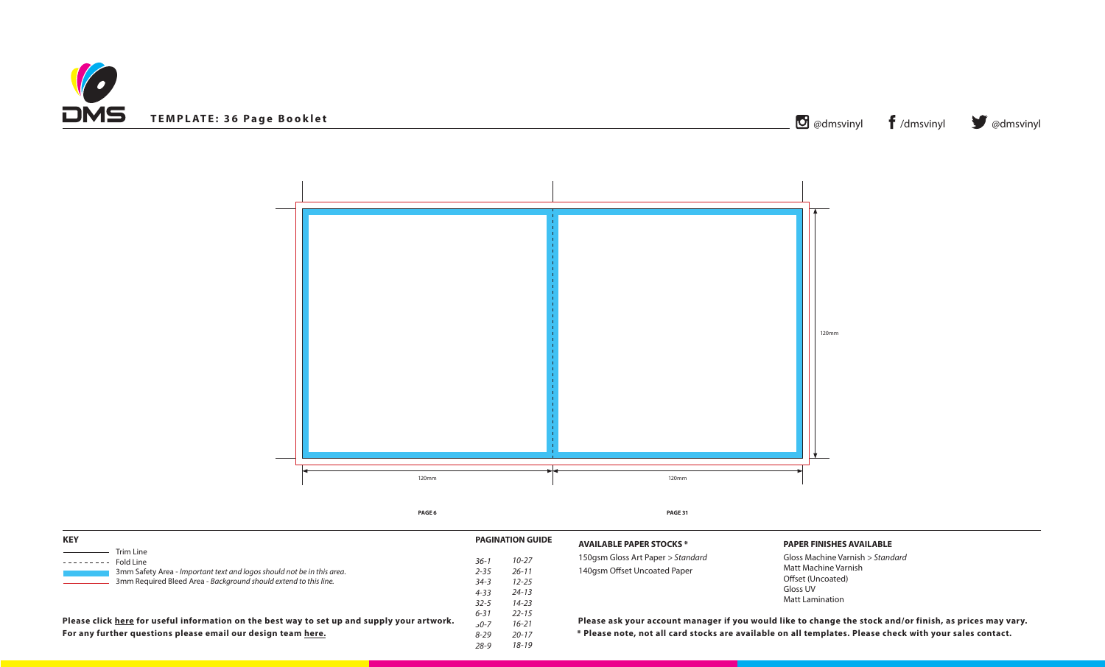



# **PAPER FINISHES AVAILABLE**

Gloss Machine Varnish *> Standard* Matt Machine Varnish Offset (Uncoated) Gloss UV Matt Lamination

all card stocks are available on all templates. Please check with your sales contact. count manager if you would like to change the stock and/or finish, as prices may vary.

| <b>KEY</b>                                                                                  |          | <b>PAGINATION GUIDE</b> | <b>AVAILABLE PAPER ST</b> |
|---------------------------------------------------------------------------------------------|----------|-------------------------|---------------------------|
| Trim Line<br>Fold Line                                                                      | 36-1     | $10 - 27$               | 150gsm Gloss Art Pape     |
| 3mm Safety Area - Important text and logos should not be in this area.                      | $2 - 35$ | $26 - 11$               | 140gsm Offset Uncoat      |
| 3mm Required Bleed Area - Background should extend to this line.                            | $34 - 3$ | $12 - 25$               |                           |
|                                                                                             | $4 - 33$ | $24 - 13$               |                           |
|                                                                                             | $32 - 5$ | $14 - 23$               |                           |
|                                                                                             | $6 - 31$ | $22 - 15$               |                           |
| Please click here for useful information on the best way to set up and supply your artwork. | 0-7د     | $16 - 21$               | Please ask your acc       |
| For any further questions please email our design team here.                                | $8 - 29$ | $20 - 17$               | * Please note, not a      |
|                                                                                             | 28-9     | $18 - 19$               |                           |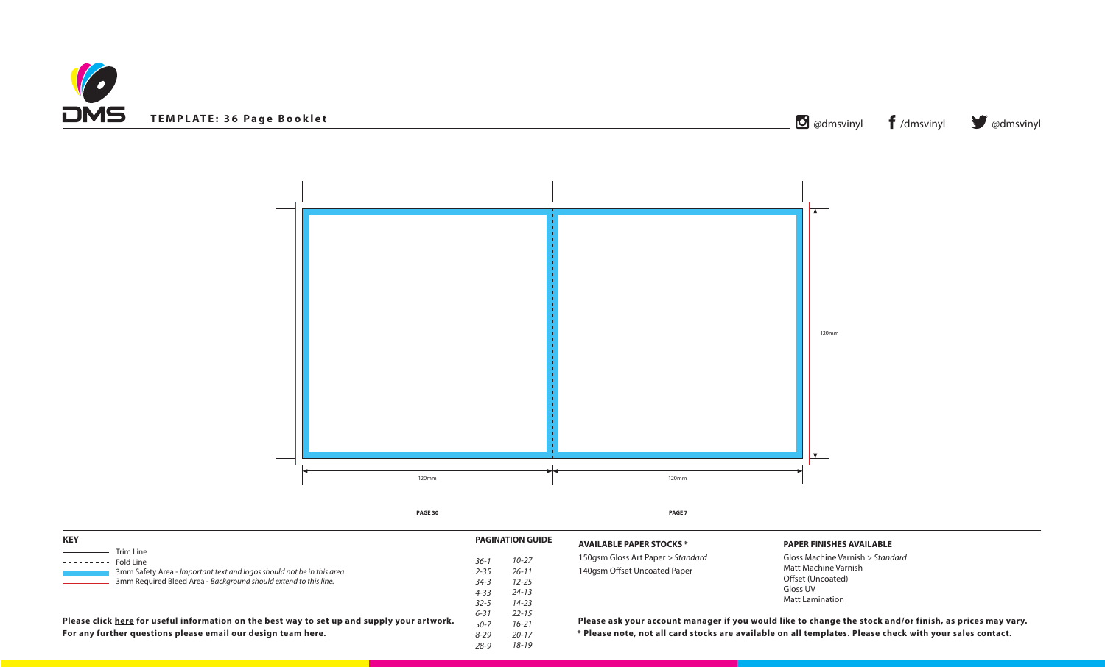



# **PAPER FINISHES AVAILABLE**

Gloss Machine Varnish *> Standard* Matt Machine Varnish Offset (Uncoated) Gloss UV Matt Lamination

**Ill card stocks are available on all templates. Please check with your sales contact.** count manager if you would like to change the stock and/or finish, as prices may vary.

| <b>KEY</b>                                                                                                                                 |                      | <b>PAGINATION GUIDE</b> | <b>AVAILABLE PAPER ST</b>                      |  |
|--------------------------------------------------------------------------------------------------------------------------------------------|----------------------|-------------------------|------------------------------------------------|--|
| Trim Line<br>Fold Line                                                                                                                     | $36-1$<br>$2 - 35$   | $10 - 27$<br>$26 - 11$  | 150gsm Gloss Art Pape<br>140gsm Offset Uncoate |  |
| 3mm Safety Area - Important text and logos should not be in this area.<br>3mm Required Bleed Area - Background should extend to this line. | $34 - 3$<br>$4 - 33$ | $12 - 25$<br>$24 - 13$  |                                                |  |
|                                                                                                                                            | $32 - 5$<br>$6 - 31$ | $14 - 23$<br>$22 - 15$  |                                                |  |
| Please click here for useful information on the best way to set up and supply your artwork.                                                | $50 - 7$             | $16 - 21$               | Please ask your acce                           |  |
| For any further questions please email our design team here.                                                                               | $8 - 29$             | $20 - 17$               | * Please note, not al                          |  |
|                                                                                                                                            | $28 - 9$             | $18 - 19$               |                                                |  |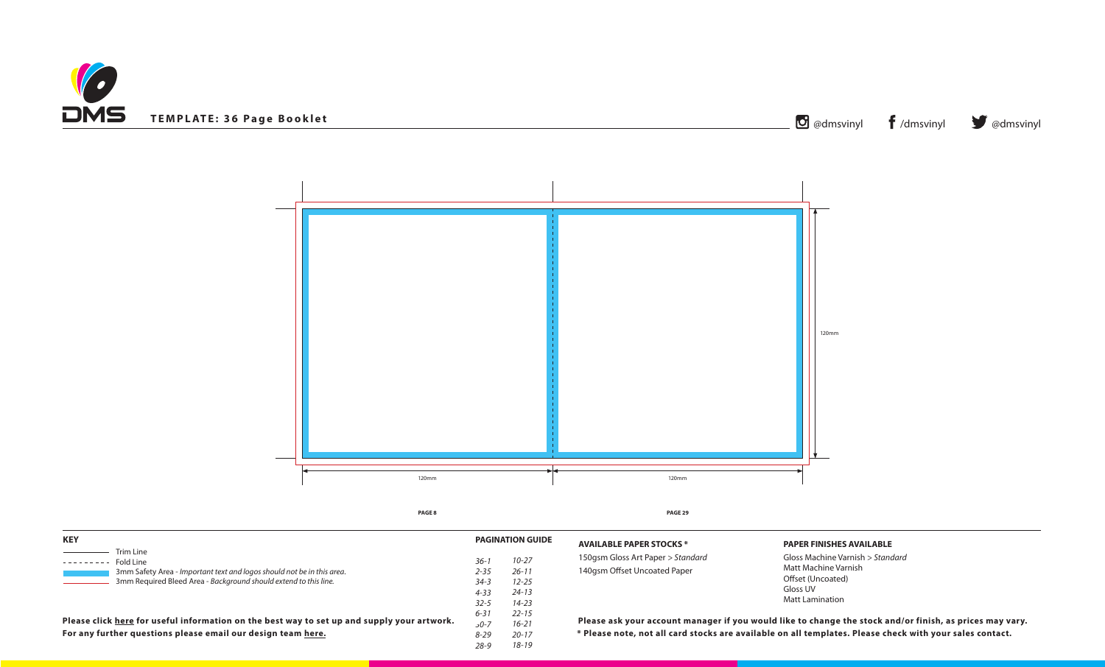



# **PAPER FINISHES AVAILABLE**

Gloss Machine Varnish *> Standard* Matt Machine Varnish Offset (Uncoated) Gloss UV Matt Lamination

all card stocks are available on all templates. Please check with your sales contact. count manager if you would like to change the stock and/or finish, as prices may vary.

| <b>KEY</b>                                                                                  |          | <b>PAGINATION GUIDE</b> | <b>AVAILABLE PAPER ST</b> |
|---------------------------------------------------------------------------------------------|----------|-------------------------|---------------------------|
| Trim Line<br>Fold Line                                                                      | 36-1     | $10 - 27$               | 150gsm Gloss Art Pape     |
| 3mm Safety Area - Important text and logos should not be in this area.                      | $2 - 35$ | $26 - 11$               | 140gsm Offset Uncoat      |
| 3mm Required Bleed Area - Background should extend to this line.                            | $34 - 3$ | $12 - 25$               |                           |
|                                                                                             | $4 - 33$ | $24 - 13$               |                           |
|                                                                                             | $32 - 5$ | $14 - 23$               |                           |
|                                                                                             | $6 - 31$ | $22 - 15$               |                           |
| Please click here for useful information on the best way to set up and supply your artwork. | 0-7د     | $16 - 21$               | Please ask your acc       |
| For any further questions please email our design team here.                                | $8 - 29$ | $20 - 17$               | * Please note, not a      |
|                                                                                             | 28-9     | $18 - 19$               |                           |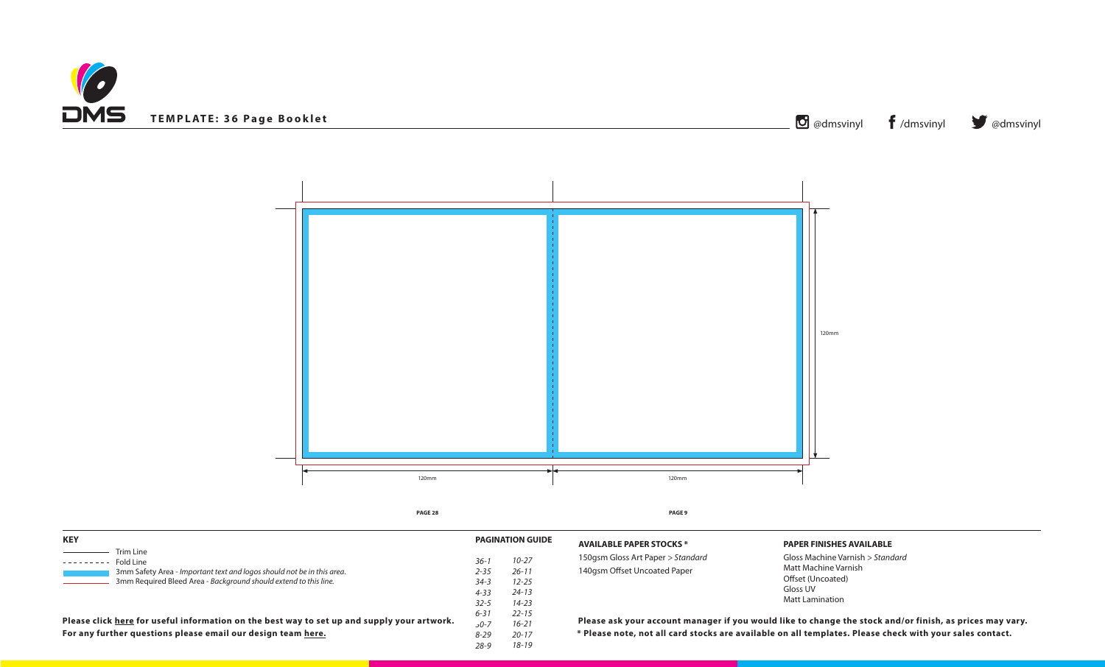



# **PAPER FINISHES AVAILABLE**

Gloss Machine Varnish *> Standard* Matt Machine Varnish Offset (Uncoated) Gloss UV Matt Lamination

all card stocks are available on all templates. Please check with your sales contact. count manager if you would like to change the stock and/or finish, as prices may vary.

| <b>KEY</b>                                                                                                                                 |                      | <b>PAGINATION GUIDE</b> | <b>AVAILABLE PAPER ST</b>                     |
|--------------------------------------------------------------------------------------------------------------------------------------------|----------------------|-------------------------|-----------------------------------------------|
| Trim Line<br>Fold Line                                                                                                                     | $36-1$<br>$2 - 35$   | $10 - 27$<br>$26 - 11$  | 150gsm Gloss Art Pape<br>140gsm Offset Uncoat |
| 3mm Safety Area - Important text and logos should not be in this area.<br>3mm Required Bleed Area - Background should extend to this line. | $34 - 3$<br>$4 - 33$ | $12 - 25$<br>$24 - 13$  |                                               |
|                                                                                                                                            | $32 - 5$<br>$6 - 31$ | $14 - 23$<br>$22 - 15$  |                                               |
| Please click here for useful information on the best way to set up and supply your artwork.                                                | $50 - 7$             | $16 - 21$               | Please ask your acc                           |
| For any further questions please email our design team here.                                                                               | $8 - 29$             | $20 - 17$               | * Please note, not a                          |
|                                                                                                                                            | $28 - 9$             | $18 - 19$               |                                               |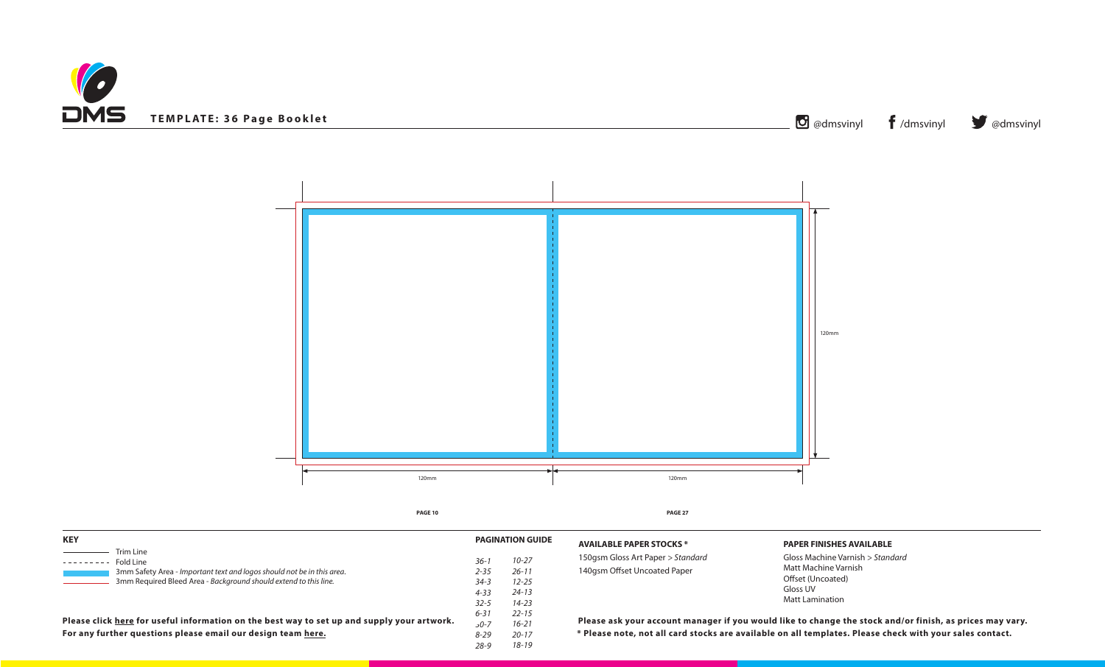



# **PAPER FINISHES AVAILABLE**

Gloss Machine Varnish *> Standard* Matt Machine Varnish Offset (Uncoated) Gloss UV Matt Lamination

**Ill card stocks are available on all templates. Please check with your sales contact.** count manager if you would like to change the stock and/or finish, as prices may vary.

| <b>KEY</b>                                                                                                                                 |                      | <b>PAGINATION GUIDE</b> | <b>AVAILABLE PAPER ST</b>                      |  |
|--------------------------------------------------------------------------------------------------------------------------------------------|----------------------|-------------------------|------------------------------------------------|--|
| Trim Line<br>Fold Line                                                                                                                     | $36-1$<br>$2 - 35$   | $10 - 27$<br>$26 - 11$  | 150gsm Gloss Art Pape<br>140gsm Offset Uncoate |  |
| 3mm Safety Area - Important text and logos should not be in this area.<br>3mm Required Bleed Area - Background should extend to this line. | $34 - 3$<br>$4 - 33$ | $12 - 25$<br>$24 - 13$  |                                                |  |
|                                                                                                                                            | $32 - 5$<br>$6 - 31$ | $14 - 23$<br>$22 - 15$  |                                                |  |
| Please click here for useful information on the best way to set up and supply your artwork.                                                | $50 - 7$             | $16 - 21$               | Please ask your acce                           |  |
| For any further questions please email our design team here.                                                                               | $8 - 29$             | $20 - 17$               | * Please note, not al                          |  |
|                                                                                                                                            | $28 - 9$             | $18 - 19$               |                                                |  |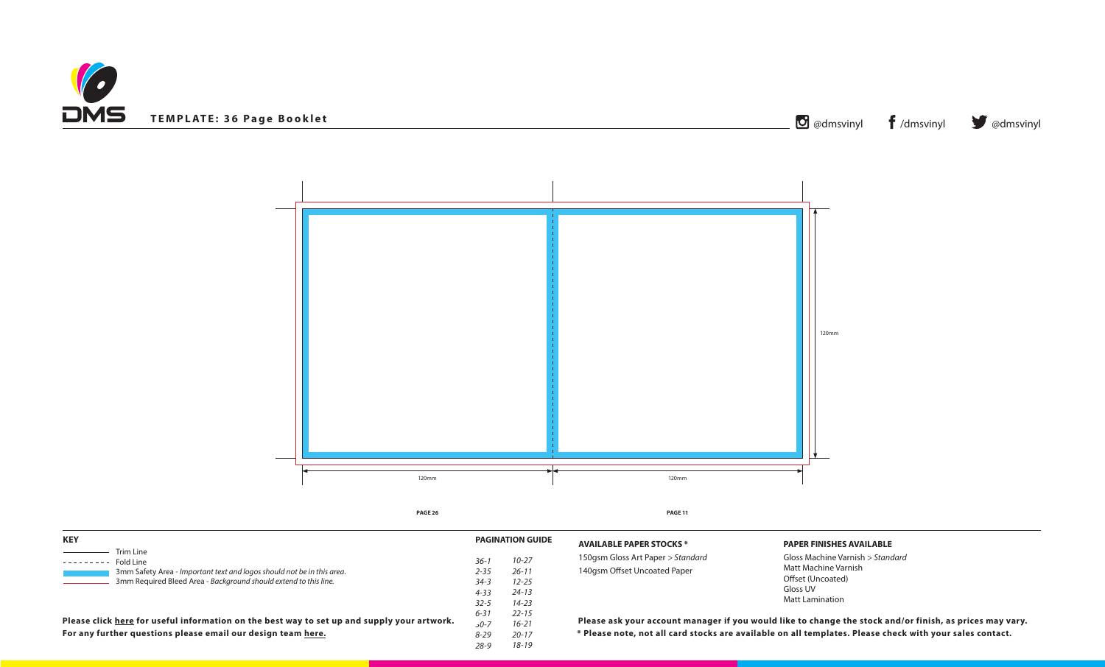



# **PAPER FINISHES AVAILABLE**

Gloss Machine Varnish *> Standard* Matt Machine Varnish Offset (Uncoated) Gloss UV Matt Lamination

**Ill card stocks are available on all templates. Please check with your sales contact.** count manager if you would like to change the stock and/or finish, as prices may vary.

| <b>KEY</b>                                                                                                                                 |                      | <b>PAGINATION GUIDE</b> | <b>AVAILABLE PAPER ST</b>                      |  |
|--------------------------------------------------------------------------------------------------------------------------------------------|----------------------|-------------------------|------------------------------------------------|--|
| Trim Line<br>Fold Line                                                                                                                     | $36-1$<br>$2 - 35$   | $10 - 27$<br>$26 - 11$  | 150gsm Gloss Art Pape<br>140gsm Offset Uncoate |  |
| 3mm Safety Area - Important text and logos should not be in this area.<br>3mm Required Bleed Area - Background should extend to this line. | $34 - 3$<br>$4 - 33$ | $12 - 25$<br>$24 - 13$  |                                                |  |
|                                                                                                                                            | $32 - 5$<br>$6 - 31$ | $14 - 23$<br>$22 - 15$  |                                                |  |
| Please click here for useful information on the best way to set up and supply your artwork.                                                | $50 - 7$             | $16 - 21$               | Please ask your acce                           |  |
| For any further questions please email our design team here.                                                                               | $8 - 29$             | $20 - 17$               | * Please note, not al                          |  |
|                                                                                                                                            | $28 - 9$             | $18 - 19$               |                                                |  |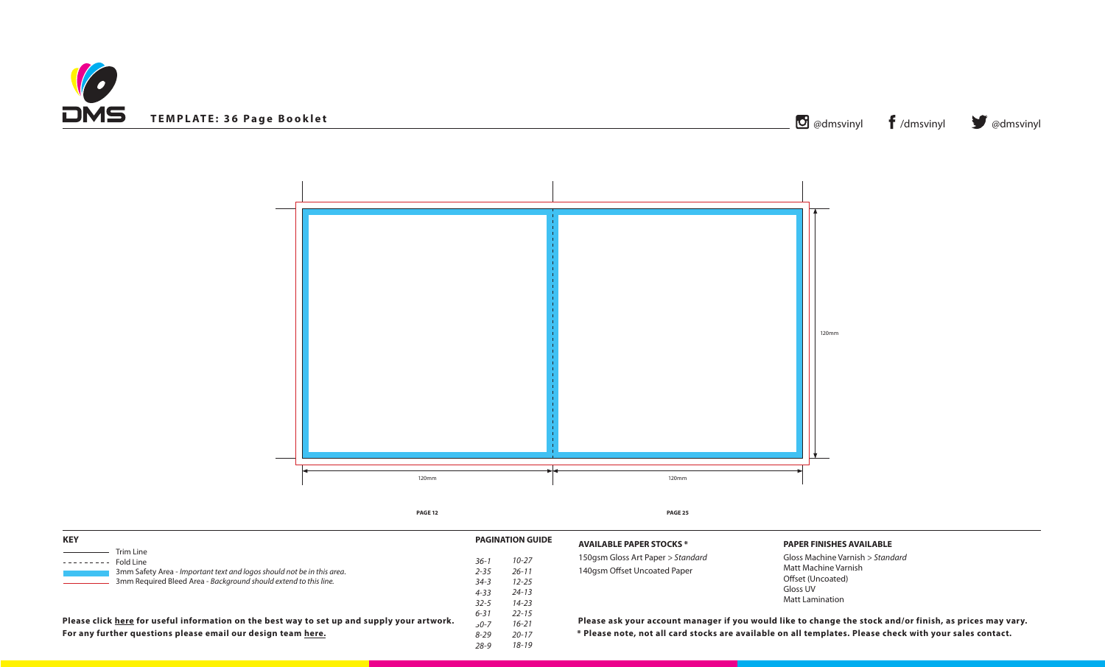



# **PAPER FINISHES AVAILABLE**

Gloss Machine Varnish *> Standard* Matt Machine Varnish Offset (Uncoated) Gloss UV Matt Lamination

all card stocks are available on all templates. Please check with your sales contact. count manager if you would like to change the stock and/or finish, as prices may vary.

| <b>KEY</b>                                                                                                                                 |                      | <b>PAGINATION GUIDE</b> | <b>AVAILABLE PAPER ST</b>                     |
|--------------------------------------------------------------------------------------------------------------------------------------------|----------------------|-------------------------|-----------------------------------------------|
| Trim Line<br>Fold Line                                                                                                                     | $36-1$<br>$2 - 35$   | $10 - 27$<br>$26 - 11$  | 150gsm Gloss Art Pape<br>140gsm Offset Uncoat |
| 3mm Safety Area - Important text and logos should not be in this area.<br>3mm Required Bleed Area - Background should extend to this line. | $34 - 3$<br>$4 - 33$ | $12 - 25$<br>$24 - 13$  |                                               |
|                                                                                                                                            | $32 - 5$<br>$6 - 31$ | $14 - 23$<br>$22 - 15$  |                                               |
| Please click here for useful information on the best way to set up and supply your artwork.                                                | $50 - 7$             | $16 - 21$               | Please ask your acc                           |
| For any further questions please email our design team here.                                                                               | $8 - 29$             | $20 - 17$               | * Please note, not a                          |
|                                                                                                                                            | $28 - 9$             | $18 - 19$               |                                               |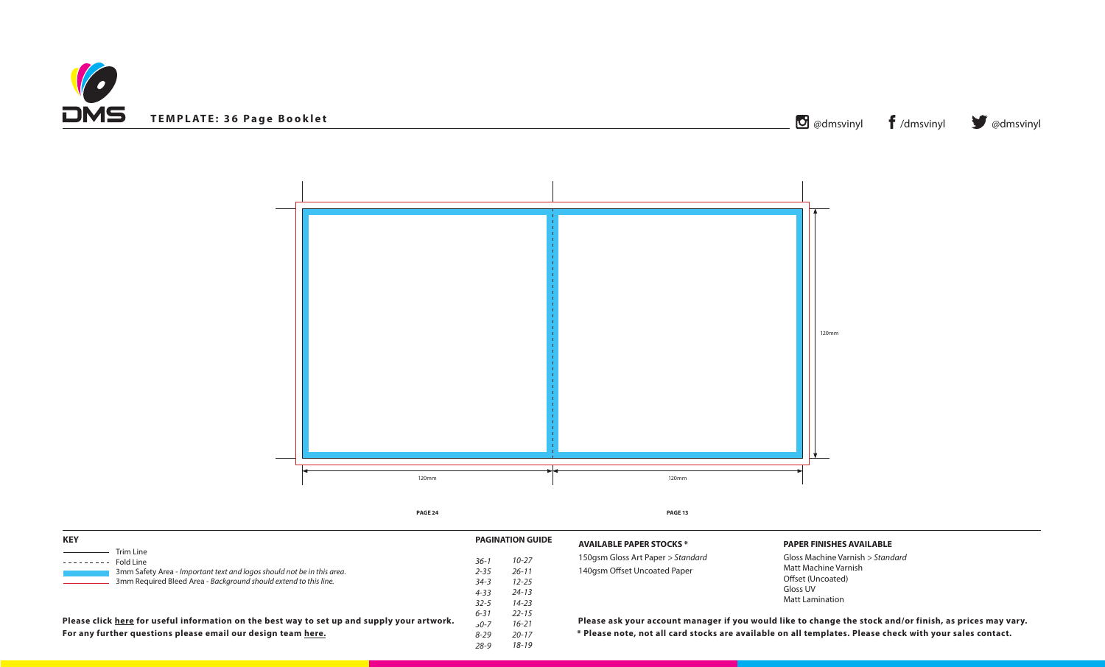



# **PAPER FINISHES AVAILABLE**

Gloss Machine Varnish *> Standard* Matt Machine Varnish Offset (Uncoated) Gloss UV Matt Lamination

**Ill card stocks are available on all templates. Please check with your sales contact.** count manager if you would like to change the stock and/or finish, as prices may vary.

| <b>KEY</b>                                                                                                                                 |                      | <b>PAGINATION GUIDE</b> | <b>AVAILABLE PAPER ST</b>                      |
|--------------------------------------------------------------------------------------------------------------------------------------------|----------------------|-------------------------|------------------------------------------------|
| Trim Line<br>Fold Line                                                                                                                     | $36-1$<br>$2 - 35$   | $10 - 27$<br>$26 - 11$  | 150gsm Gloss Art Pape<br>140gsm Offset Uncoate |
| 3mm Safety Area - Important text and logos should not be in this area.<br>3mm Required Bleed Area - Background should extend to this line. | $34 - 3$<br>$4 - 33$ | $12 - 25$<br>$24 - 13$  |                                                |
|                                                                                                                                            | $32 - 5$<br>$6 - 31$ | $14 - 23$<br>$22 - 15$  |                                                |
| Please click here for useful information on the best way to set up and supply your artwork.                                                | $50 - 7$             | $16 - 21$               | Please ask your acce                           |
| For any further questions please email our design team here.                                                                               | $8 - 29$             | $20 - 17$               | * Please note, not al                          |
|                                                                                                                                            | $28 - 9$             | $18 - 19$               |                                                |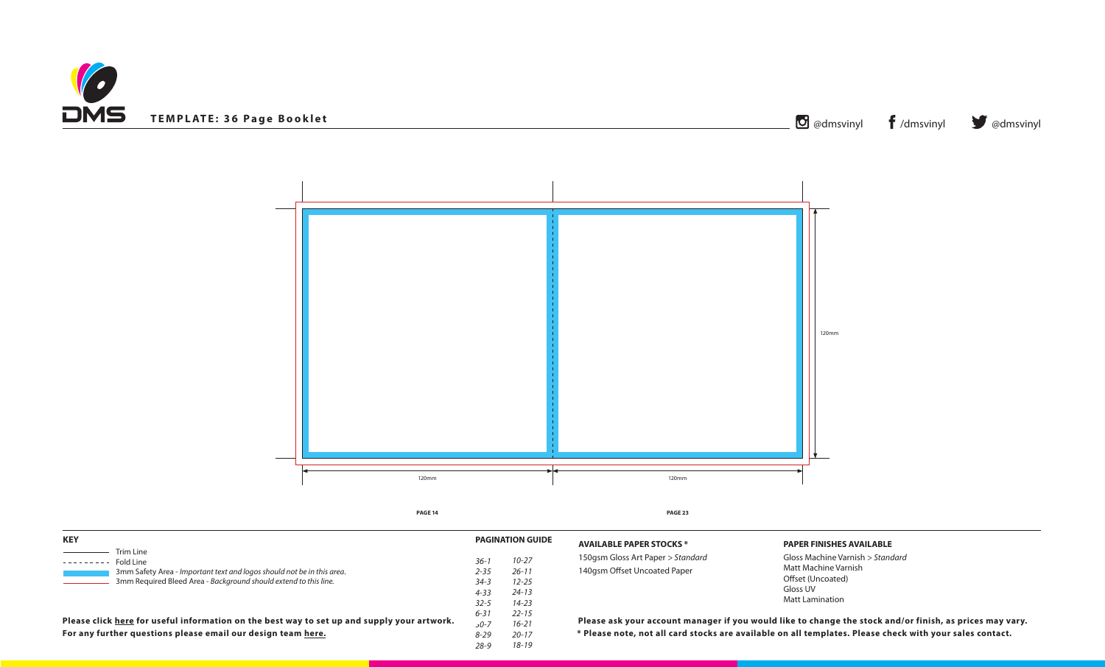



# **PAPER FINISHES AVAILABLE**

Gloss Machine Varnish *> Standard* Matt Machine Varnish Offset (Uncoated) Gloss UV Matt Lamination

all card stocks are available on all templates. Please check with your sales contact. count manager if you would like to change the stock and/or finish, as prices may vary.

| <b>KEY</b>                                                                                  |          | <b>PAGINATION GUIDE</b> | <b>AVAILABLE PAPER ST</b> |
|---------------------------------------------------------------------------------------------|----------|-------------------------|---------------------------|
| Trim Line<br>Fold Line                                                                      | $36-1$   | $10 - 27$               | 150gsm Gloss Art Pape     |
| 3mm Safety Area - Important text and logos should not be in this area.                      | $2 - 35$ | $26 - 11$               | 140gsm Offset Uncoat      |
| 3mm Required Bleed Area - Background should extend to this line.                            | $34 - 3$ | $12 - 25$               |                           |
|                                                                                             | $4 - 33$ | $24 - 13$               |                           |
|                                                                                             | $32 - 5$ | $14 - 23$               |                           |
|                                                                                             | $6 - 31$ | $22 - 15$               |                           |
| Please click here for useful information on the best way to set up and supply your artwork. | $50 - 7$ | $16 - 21$               | Please ask your acc       |
| For any further questions please email our design team here.                                | $8 - 29$ | $20 - 17$               | * Please note, not a      |
|                                                                                             | $28 - 9$ | 18-19                   |                           |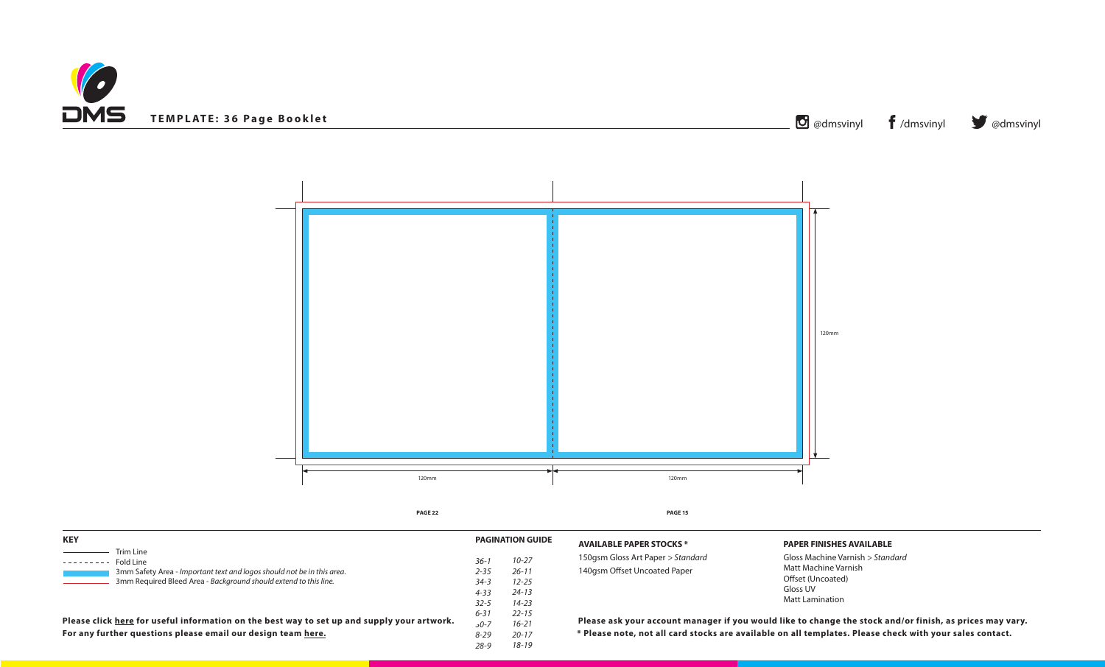



# **PAPER FINISHES AVAILABLE**

Gloss Machine Varnish *> Standard* Matt Machine Varnish Offset (Uncoated) Gloss UV Matt Lamination

all card stocks are available on all templates. Please check with your sales contact. count manager if you would like to change the stock and/or finish, as prices may vary.

| <b>KEY</b>                                                                                                                                 |                      | <b>PAGINATION GUIDE</b> | <b>AVAILABLE PAPER ST</b>                     |
|--------------------------------------------------------------------------------------------------------------------------------------------|----------------------|-------------------------|-----------------------------------------------|
| Trim Line<br>Fold Line                                                                                                                     | $36-1$<br>$2 - 35$   | $10 - 27$<br>$26 - 11$  | 150gsm Gloss Art Pape<br>140gsm Offset Uncoat |
| 3mm Safety Area - Important text and logos should not be in this area.<br>3mm Required Bleed Area - Background should extend to this line. | $34 - 3$<br>$4 - 33$ | $12 - 25$<br>$24 - 13$  |                                               |
|                                                                                                                                            | $32 - 5$<br>$6 - 31$ | $14 - 23$<br>$22 - 15$  |                                               |
| Please click here for useful information on the best way to set up and supply your artwork.                                                | $50 - 7$             | $16 - 21$               | Please ask your acc                           |
| For any further questions please email our design team here.                                                                               | $8 - 29$             | $20 - 17$               | * Please note, not a                          |
|                                                                                                                                            | $28 - 9$             | $18 - 19$               |                                               |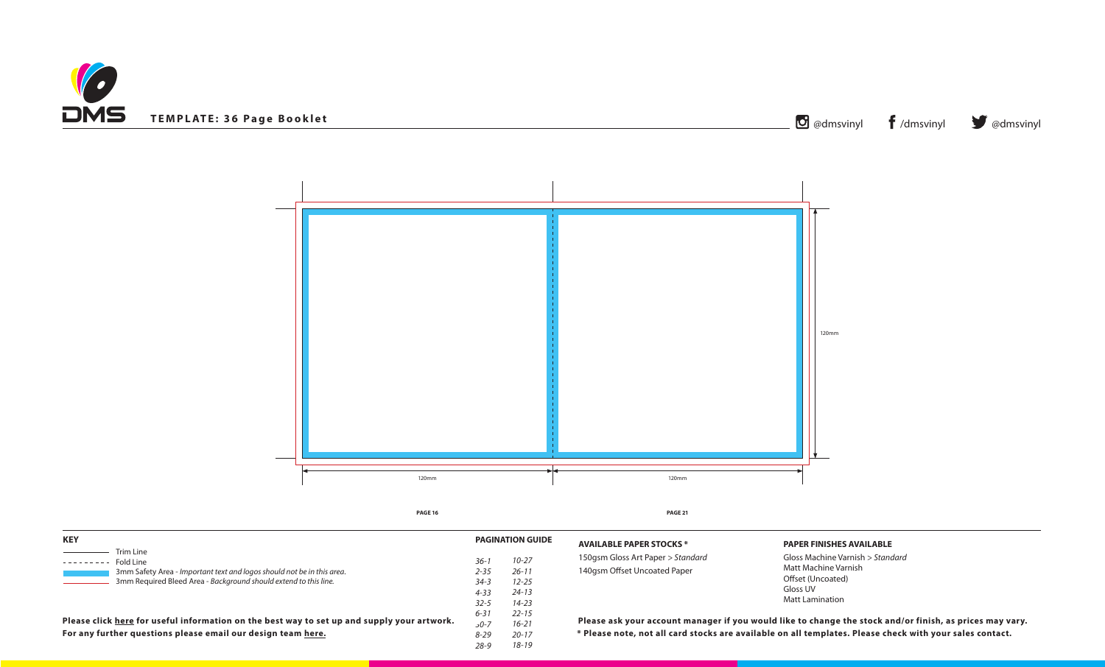



# **PAPER FINISHES AVAILABLE**

Gloss Machine Varnish *> Standard* Matt Machine Varnish Offset (Uncoated) Gloss UV Matt Lamination

all card stocks are available on all templates. Please check with your sales contact. count manager if you would like to change the stock and/or finish, as prices may vary.

| <b>KEY</b>                                                                                                                                 |                                  | <b>PAGINATION GUIDE</b>             | <b>AVAILABLE PAPER ST</b> |
|--------------------------------------------------------------------------------------------------------------------------------------------|----------------------------------|-------------------------------------|---------------------------|
| Trim Line<br>Fold Line                                                                                                                     | $36-1$                           | $10 - 27$                           | 150gsm Gloss Art Pape     |
| 3mm Safety Area - Important text and logos should not be in this area.<br>3mm Required Bleed Area - Background should extend to this line. | $2 - 35$<br>$34 - 3$<br>$4 - 33$ | $26 - 11$<br>$12 - 25$<br>$24 - 13$ | 140gsm Offset Uncoat      |
|                                                                                                                                            | $32 - 5$<br>$6 - 31$             | $14 - 23$<br>$22 - 15$              |                           |
| Please click here for useful information on the best way to set up and supply your artwork.                                                | 0-7د                             | $16 - 21$                           | Please ask your acc       |
| For any further questions please email our design team here.                                                                               | $8 - 29$<br>28-9                 | $20 - 17$<br>18-19                  | * Please note, not a      |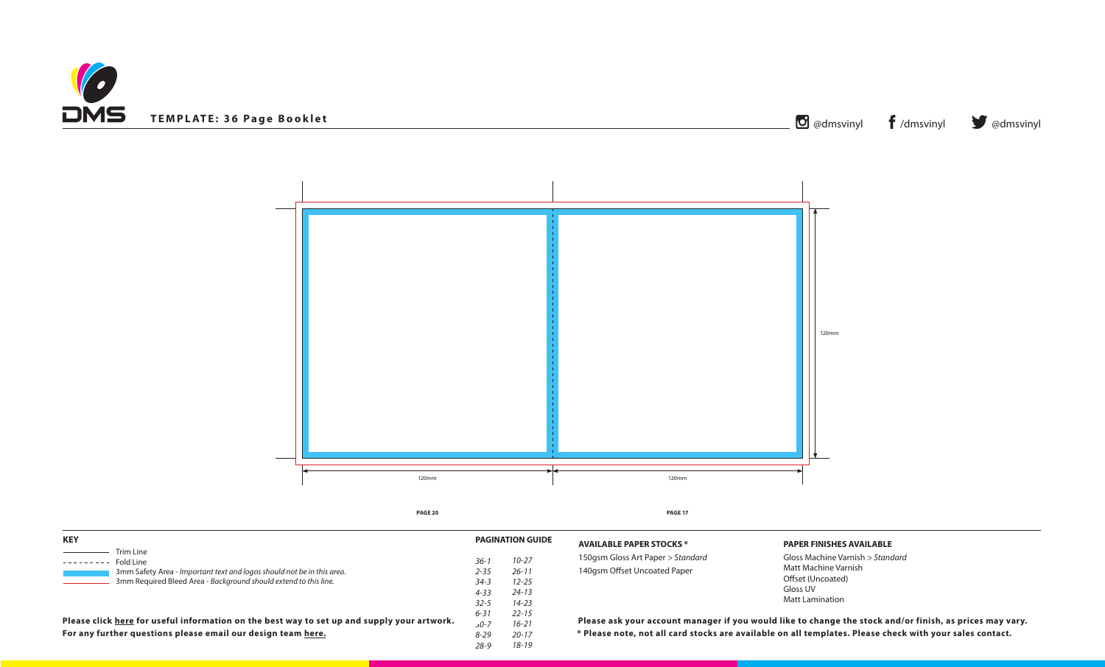



# **PAPER FINISHES AVAILABLE**

Gloss Machine Varnish *> Standard* Matt Machine Varnish Offset (Uncoated) Gloss UV Matt Lamination

**Ill card stocks are available on all templates. Please check with your sales contact.** count manager if you would like to change the stock and/or finish, as prices may vary.

| <b>KEY</b>                                                                                                                                 |                      | <b>PAGINATION GUIDE</b> | <b>AVAILABLE PAPER ST</b>                      |
|--------------------------------------------------------------------------------------------------------------------------------------------|----------------------|-------------------------|------------------------------------------------|
| Trim Line<br>Fold Line                                                                                                                     | $36-1$<br>$2 - 35$   | $10 - 27$<br>$26 - 11$  | 150gsm Gloss Art Pape<br>140gsm Offset Uncoate |
| 3mm Safety Area - Important text and logos should not be in this area.<br>3mm Required Bleed Area - Background should extend to this line. | $34 - 3$<br>$4 - 33$ | $12 - 25$<br>$24 - 13$  |                                                |
|                                                                                                                                            | $32 - 5$<br>$6 - 31$ | $14 - 23$<br>$22 - 15$  |                                                |
| Please click here for useful information on the best way to set up and supply your artwork.                                                | $50 - 7$             | $16 - 21$               | Please ask your acce                           |
| For any further questions please email our design team here.                                                                               | $8 - 29$             | $20 - 17$               | * Please note, not al                          |
|                                                                                                                                            | $28 - 9$             | $18 - 19$               |                                                |